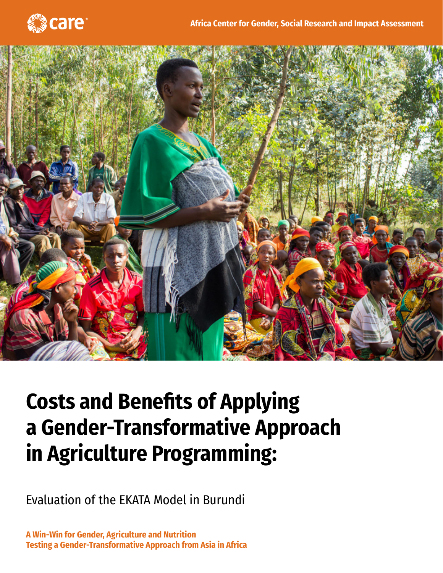



# **Costs and Benefits of Applying a Gender-Transformative Approach in Agriculture Programming:**

Evaluation of the EKATA Model in Burundi

**A Win-Win for Gender, Agriculture and Nutrition Testing a Gender-Transformative Approach from Asia in Africa**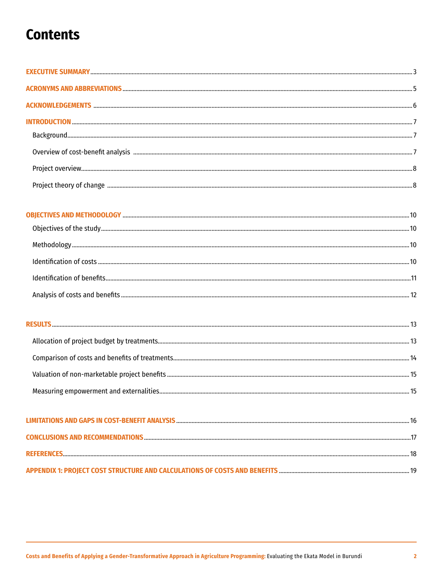## **Contents**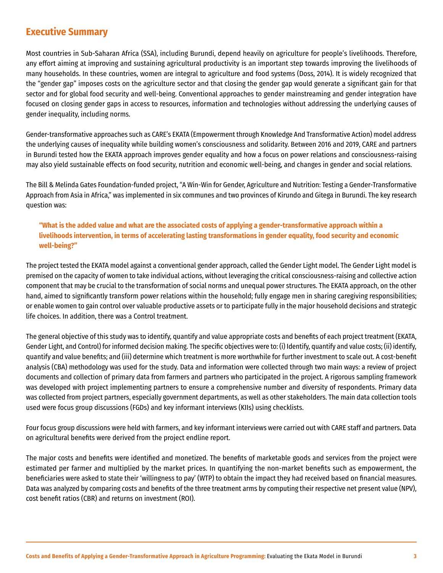## <span id="page-2-0"></span>**Executive Summary**

Most countries in Sub-Saharan Africa (SSA), including Burundi, depend heavily on agriculture for people's livelihoods. Therefore, any effort aiming at improving and sustaining agricultural productivity is an important step towards improving the livelihoods of many households. In these countries, women are integral to agriculture and food systems (Doss, 2014). It is widely recognized that the "gender gap" imposes costs on the agriculture sector and that closing the gender gap would generate a significant gain for that sector and for global food security and well-being. Conventional approaches to gender mainstreaming and gender integration have focused on closing gender gaps in access to resources, information and technologies without addressing the underlying causes of gender inequality, including norms.

Gender-transformative approaches such as CARE's EKATA (Empowerment through Knowledge And Transformative Action) model address the underlying causes of inequality while building women's consciousness and solidarity. Between 2016 and 2019, CARE and partners in Burundi tested how the EKATA approach improves gender equality and how a focus on power relations and consciousness-raising may also yield sustainable effects on food security, nutrition and economic well-being, and changes in gender and social relations.

The Bill & Melinda Gates Foundation-funded project, "A Win-Win for Gender, Agriculture and Nutrition: Testing a Gender-Transformative Approach from Asia in Africa," was implemented in six communes and two provinces of Kirundo and Gitega in Burundi. The key research question was:

#### **"What is the added value and what are the associated costs of applying a gender-transformative approach within a livelihoods intervention, in terms of accelerating lasting transformations in gender equality, food security and economic well-being?"**

The project tested the EKATA model against a conventional gender approach, called the Gender Light model. The Gender Light model is premised on the capacity of women to take individual actions, without leveraging the critical consciousness-raising and collective action component that may be crucial to the transformation of social norms and unequal power structures. The EKATA approach, on the other hand, aimed to significantly transform power relations within the household; fully engage men in sharing caregiving responsibilities; or enable women to gain control over valuable productive assets or to participate fully in the major household decisions and strategic life choices. In addition, there was a Control treatment.

The general objective of this study was to identify, quantify and value appropriate costs and benefits of each project treatment (EKATA, Gender Light, and Control) for informed decision making. The specific objectives were to: (i) Identify, quantify and value costs; (ii) identify, quantify and value benefits; and (iii) determine which treatment is more worthwhile for further investment to scale out. A cost-benefit analysis (CBA) methodology was used for the study. Data and information were collected through two main ways: a review of project documents and collection of primary data from farmers and partners who participated in the project. A rigorous sampling framework was developed with project implementing partners to ensure a comprehensive number and diversity of respondents. Primary data was collected from project partners, especially government departments, as well as other stakeholders. The main data collection tools used were focus group discussions (FGDs) and key informant interviews (KIIs) using checklists.

Four focus group discussions were held with farmers, and key informant interviews were carried out with CARE staff and partners. Data on agricultural benefits were derived from the project endline report.

The major costs and benefits were identified and monetized. The benefits of marketable goods and services from the project were estimated per farmer and multiplied by the market prices. In quantifying the non-market benefits such as empowerment, the beneficiaries were asked to state their 'willingness to pay' (WTP) to obtain the impact they had received based on financial measures. Data was analyzed by comparing costs and benefits of the three treatment arms by computing their respective net present value (NPV), cost benefit ratios (CBR) and returns on investment (ROI).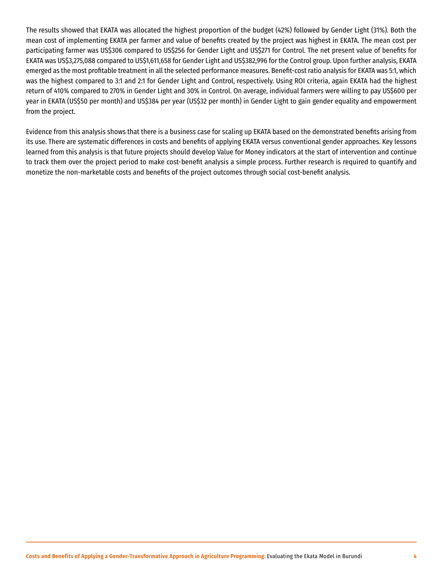The results showed that EKATA was allocated the highest proportion of the budget (42%) followed by Gender Light (31%). Both the mean cost of implementing EKATA per farmer and value of benefits created by the project was highest in EKATA. The mean cost per participating farmer was US\$306 compared to US\$256 for Gender Light and US\$271 for Control. The net present value of benefits for EKATA was US\$3,275,088 compared to US\$1,611,658 for Gender Light and US\$382,996 for the Control group. Upon further analysis, EKATA emerged as the most profitable treatment in all the selected performance measures. Benefit-cost ratio analysis for EKATA was 5:1, which was the highest compared to 3:1 and 2:1 for Gender Light and Control, respectively. Using ROI criteria, again EKATA had the highest return of 410% compared to 270% in Gender Light and 30% in Control. On average, individual farmers were willing to pay US\$600 per year in EKATA (US\$50 per month) and US\$384 per year (US\$32 per month) in Gender Light to gain gender equality and empowerment from the project.

Evidence from this analysis shows that there is a business case for scaling up EKATA based on the demonstrated benefits arising from its use. There are systematic differences in costs and benefits of applying EKATA versus conventional gender approaches. Key lessons learned from this analysis is that future projects should develop Value for Money indicators at the start of intervention and continue to track them over the project period to make cost-benefit analysis a simple process. Further research is required to quantify and monetize the non-marketable costs and benefits of the project outcomes through social cost-benefit analysis.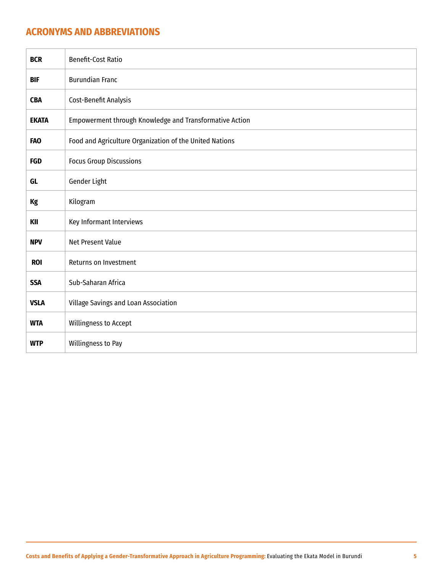## <span id="page-4-0"></span>**ACRONYMS AND ABBREVIATIONS**

| <b>BCR</b>   | <b>Benefit-Cost Ratio</b>                               |
|--------------|---------------------------------------------------------|
| <b>BIF</b>   | <b>Burundian Franc</b>                                  |
| <b>CBA</b>   | Cost-Benefit Analysis                                   |
| <b>EKATA</b> | Empowerment through Knowledge and Transformative Action |
| <b>FAO</b>   | Food and Agriculture Organization of the United Nations |
| <b>FGD</b>   | <b>Focus Group Discussions</b>                          |
| GL           | Gender Light                                            |
| Kg           | Kilogram                                                |
| KII          | Key Informant Interviews                                |
| <b>NPV</b>   | Net Present Value                                       |
| <b>ROI</b>   | Returns on Investment                                   |
| <b>SSA</b>   | Sub-Saharan Africa                                      |
| <b>VSLA</b>  | Village Savings and Loan Association                    |
| <b>WTA</b>   | Willingness to Accept                                   |
| <b>WTP</b>   | Willingness to Pay                                      |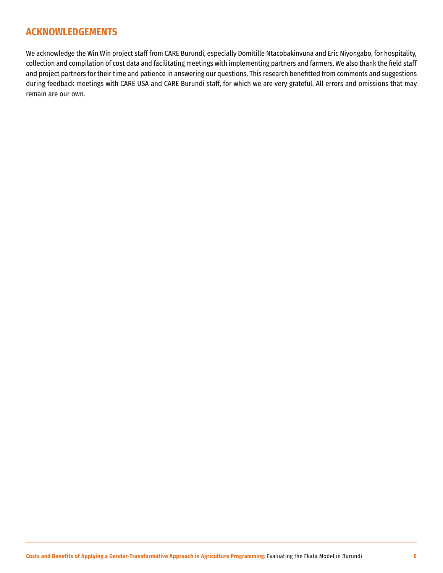## <span id="page-5-0"></span>**ACKNOWLEDGEMENTS**

We acknowledge the Win Win project staff from CARE Burundi, especially Domitille Ntacobakinvuna and Eric Niyongabo, for hospitality, collection and compilation of cost data and facilitating meetings with implementing partners and farmers. We also thank the field staff and project partners for their time and patience in answering our questions. This research benefitted from comments and suggestions during feedback meetings with CARE USA and CARE Burundi staff, for which we are very grateful. All errors and omissions that may remain are our own.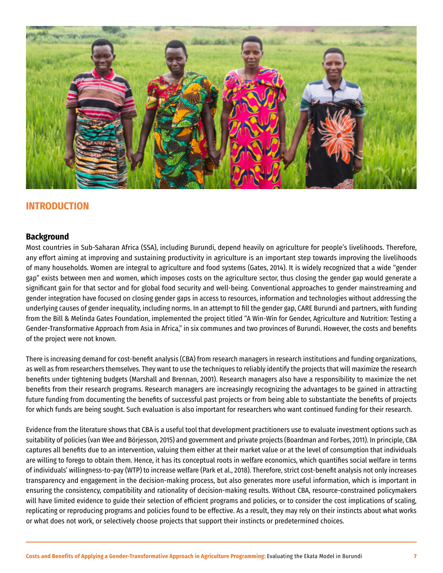<span id="page-6-0"></span>

## **INTRODUCTION**

#### **Background**

Most countries in Sub-Saharan Africa (SSA), including Burundi, depend heavily on agriculture for people's livelihoods. Therefore, any effort aiming at improving and sustaining productivity in agriculture is an important step towards improving the livelihoods of many households. Women are integral to agriculture and food systems (Gates, 2014). It is widely recognized that a wide "gender gap" exists between men and women, which imposes costs on the agriculture sector, thus closing the gender gap would generate a significant gain for that sector and for global food security and well-being. Conventional approaches to gender mainstreaming and gender integration have focused on closing gender gaps in access to resources, information and technologies without addressing the underlying causes of gender inequality, including norms. In an attempt to fill the gender gap, CARE Burundi and partners, with funding from the Bill & Melinda Gates Foundation, implemented the project titled "A Win-Win for Gender, Agriculture and Nutrition: Testing a Gender-Transformative Approach from Asia in Africa," in six communes and two provinces of Burundi. However, the costs and benefits of the project were not known.

There is increasing demand for cost-benefit analysis (CBA) from research managers in research institutions and funding organizations, as well as from researchers themselves. They want to use the techniques to reliably identify the projects that will maximize the research benefits under tightening budgets (Marshall and Brennan, 2001). Research managers also have a responsibility to maximize the net benefits from their research programs. Research managers are increasingly recognizing the advantages to be gained in attracting future funding from documenting the benefits of successful past projects or from being able to substantiate the benefits of projects for which funds are being sought. Such evaluation is also important for researchers who want continued funding for their research.

Evidence from the literature shows that CBA is a useful tool that development practitioners use to evaluate investment options such as suitability of policies (van Wee and Börjesson, 2015) and government and private projects (Boardman and Forbes, 2011). In principle, CBA captures all benefits due to an intervention, valuing them either at their market value or at the level of consumption that individuals are willing to forego to obtain them. Hence, it has its conceptual roots in welfare economics, which quantifies social welfare in terms of individuals' willingness-to-pay (WTP) to increase welfare (Park et al., 2018). Therefore, strict cost-benefit analysis not only increases transparency and engagement in the decision-making process, but also generates more useful information, which is important in ensuring the consistency, compatibility and rationality of decision-making results. Without CBA, resource-constrained policymakers will have limited evidence to guide their selection of efficient programs and policies, or to consider the cost implications of scaling, replicating or reproducing programs and policies found to be effective. As a result, they may rely on their instincts about what works or what does not work, or selectively choose projects that support their instincts or predetermined choices.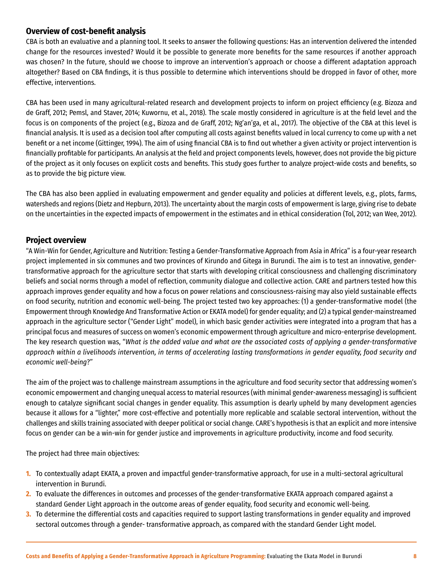## <span id="page-7-0"></span>**Overview of cost-benefit analysis**

CBA is both an evaluative and a planning tool. It seeks to answer the following questions: Has an intervention delivered the intended change for the resources invested? Would it be possible to generate more benefits for the same resources if another approach was chosen? In the future, should we choose to improve an intervention's approach or choose a different adaptation approach altogether? Based on CBA findings, it is thus possible to determine which interventions should be dropped in favor of other, more effective, interventions.

CBA has been used in many agricultural-related research and development projects to inform on project efficiency (e.g. Bizoza and de Graff, 2012; Pemsl, and Staver, 2014; Kuwornu, et al., 2018). The scale mostly considered in agriculture is at the field level and the focus is on components of the project (e.g., Bizoza and de Graff, 2012; Ng'an'ga, et al., 2017). The objective of the CBA at this level is financial analysis. It is used as a decision tool after computing all costs against benefits valued in local currency to come up with a net benefit or a net income (Gittinger, 1994). The aim of using financial CBA is to find out whether a given activity or project intervention is financially profitable for participants. An analysis at the field and project components levels, however, does not provide the big picture of the project as it only focuses on explicit costs and benefits. This study goes further to analyze project-wide costs and benefits, so as to provide the big picture view.

The CBA has also been applied in evaluating empowerment and gender equality and policies at different levels, e.g., plots, farms, watersheds and regions (Dietz and Hepburn, 2013). The uncertainty about the margin costs of empowerment is large, giving rise to debate on the uncertainties in the expected impacts of empowerment in the estimates and in ethical consideration (Tol, 2012; van Wee, 2012).

## **Project overview**

"A Win-Win for Gender, Agriculture and Nutrition: Testing a Gender-Transformative Approach from Asia in Africa" is a four-year research project implemented in six communes and two provinces of Kirundo and Gitega in Burundi. The aim is to test an innovative, gendertransformative approach for the agriculture sector that starts with developing critical consciousness and challenging discriminatory beliefs and social norms through a model of reflection, community dialogue and collective action. CARE and partners tested how this approach improves gender equality and how a focus on power relations and consciousness-raising may also yield sustainable effects on food security, nutrition and economic well-being. The project tested two key approaches: (1) a gender-transformative model (the Empowerment through Knowledge And Transformative Action or EKATA model) for gender equality; and (2) a typical gender-mainstreamed approach in the agriculture sector ("Gender Light" model), in which basic gender activities were integrated into a program that has a principal focus and measures of success on women's economic empowerment through agriculture and micro-enterprise development. The key research question was, "*What is the added value and what are the associated costs of applying a gender-transformative approach within a livelihoods intervention, in terms of accelerating lasting transformations in gender equality, food security and economic well-being*?"

The aim of the project was to challenge mainstream assumptions in the agriculture and food security sector that addressing women's economic empowerment and changing unequal access to material resources (with minimal gender-awareness messaging) is sufficient enough to catalyze significant social changes in gender equality. This assumption is dearly upheld by many development agencies because it allows for a "lighter," more cost-effective and potentially more replicable and scalable sectoral intervention, without the challenges and skills training associated with deeper political or social change. CARE's hypothesis is that an explicit and more intensive focus on gender can be a win-win for gender justice and improvements in agriculture productivity, income and food security.

The project had three main objectives:

- **1.** To contextually adapt EKATA, a proven and impactful gender-transformative approach, for use in a multi-sectoral agricultural intervention in Burundi.
- **2.** To evaluate the differences in outcomes and processes of the gender-transformative EKATA approach compared against a standard Gender Light approach in the outcome areas of gender equality, food security and economic well-being.
- **3.** To determine the differential costs and capacities required to support lasting transformations in gender equality and improved sectoral outcomes through a gender- transformative approach, as compared with the standard Gender Light model.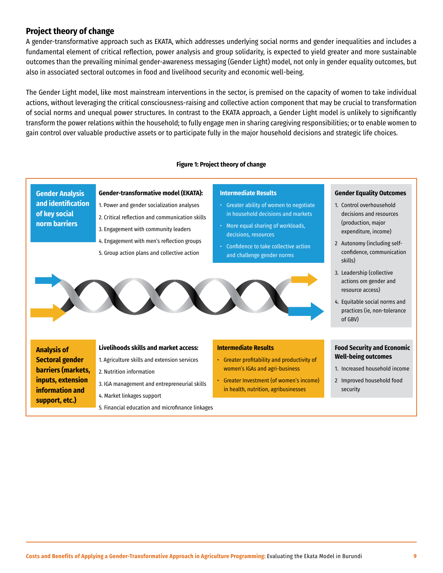## **Project theory of change**

A gender-transformative approach such as EKATA, which addresses underlying social norms and gender inequalities and includes a fundamental element of critical reflection, power analysis and group solidarity, is expected to yield greater and more sustainable outcomes than the prevailing minimal gender-awareness messaging (Gender Light) model, not only in gender equality outcomes, but also in associated sectoral outcomes in food and livelihood security and economic well-being.

The Gender Light model, like most mainstream interventions in the sector, is premised on the capacity of women to take individual actions, without leveraging the critical consciousness-raising and collective action component that may be crucial to transformation of social norms and unequal power structures. In contrast to the EKATA approach, a Gender Light model is unlikely to significantly transform the power relations within the household; to fully engage men in sharing caregiving responsibilities; or to enable women to gain control over valuable productive assets or to participate fully in the major household decisions and strategic life choices.

#### **Figure 1: Project theory of change**

#### **Gender Analysis and identification of key social norm barriers Gender-transformative model (EKATA):** 1. Power and gender socialization analyses 2. Critical reflection and communication skills 3. Engagement with community leaders 4. Engagement with men's reflection groups 5. Group action plans and collective action **Intermediate Results** • Greater ability of women to negotiate in household decisions and markets • More equal sharing of workloads, decisions, resources • Confidence to take collective action and challenge gender norms **Gender Equality Outcomes** 1. Control overhousehold 2 Autonomy (including self-3. Leadership (collective 4. Equitable social norms and **Food Security and Economic Well-being outcomes** 1. Increased household income 2 Improved household food **Intermediate Results** • Greater profitability and productivity of women's IGAs and agri-business • Greater Investment (of women's income) in health, nutrition, agribusinesses **Livelihoods skills and market access:** 1. Agriculture skills and extension services 2. Nutrition information 3. IGA management and entrepreneurial skills 4. Market linkages support **Analysis of Sectoral gender barriers (markets, inputs, extension information and support, etc.)**

5. Financial education and microfinance linkages

**Costs and Benefits of Applying a Gender-Transformative Approach in Agriculture Programming:** Evaluating the Ekata Model in Burundi **9**

decisions and resources (production, major expenditure, income)

confidence, communication

actions om gender and resource access)

practices (ie, non-tolerance

skills)

of GBV)

security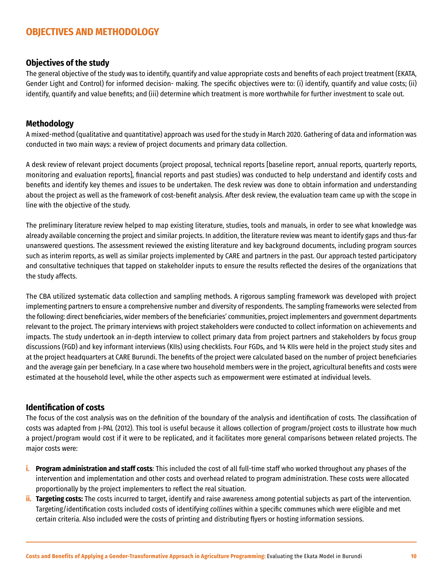## <span id="page-9-0"></span>**OBJECTIVES AND METHODOLOGY**

#### **Objectives of the study**

The general objective of the study was to identify, quantify and value appropriate costs and benefits of each project treatment (EKATA, Gender Light and Control) for informed decision- making. The specific objectives were to: (i) identify, quantify and value costs; (ii) identify, quantify and value benefits; and (iii) determine which treatment is more worthwhile for further investment to scale out.

#### **Methodology**

A mixed-method (qualitative and quantitative) approach was used for the study in March 2020. Gathering of data and information was conducted in two main ways: a review of project documents and primary data collection.

A desk review of relevant project documents (project proposal, technical reports [baseline report, annual reports, quarterly reports, monitoring and evaluation reports], financial reports and past studies) was conducted to help understand and identify costs and benefits and identify key themes and issues to be undertaken. The desk review was done to obtain information and understanding about the project as well as the framework of cost-benefit analysis. After desk review, the evaluation team came up with the scope in line with the objective of the study.

The preliminary literature review helped to map existing literature, studies, tools and manuals, in order to see what knowledge was already available concerning the project and similar projects. In addition, the literature review was meant to identify gaps and thus-far unanswered questions. The assessment reviewed the existing literature and key background documents, including program sources such as interim reports, as well as similar projects implemented by CARE and partners in the past. Our approach tested participatory and consultative techniques that tapped on stakeholder inputs to ensure the results reflected the desires of the organizations that the study affects.

The CBA utilized systematic data collection and sampling methods. A rigorous sampling framework was developed with project implementing partners to ensure a comprehensive number and diversity of respondents. The sampling frameworks were selected from the following: direct beneficiaries, wider members of the beneficiaries' communities, project implementers and government departments relevant to the project. The primary interviews with project stakeholders were conducted to collect information on achievements and impacts. The study undertook an in-depth interview to collect primary data from project partners and stakeholders by focus group discussions (FGD) and key informant interviews (KIIs) using checklists. Four FGDs, and 14 KIIs were held in the project study sites and at the project headquarters at CARE Burundi. The benefits of the project were calculated based on the number of project beneficiaries and the average gain per beneficiary. In a case where two household members were in the project, agricultural benefits and costs were estimated at the household level, while the other aspects such as empowerment were estimated at individual levels.

#### **Identification of costs**

The focus of the cost analysis was on the definition of the boundary of the analysis and identification of costs. The classification of costs was adapted from J-PAL (2012). This tool is useful because it allows collection of program/project costs to illustrate how much a project/program would cost if it were to be replicated, and it facilitates more general comparisons between related projects. The major costs were:

- **i. Program administration and staff costs**: This included the cost of all full-time staff who worked throughout any phases of the intervention and implementation and other costs and overhead related to program administration. These costs were allocated proportionally by the project implementers to reflect the real situation.
- **ii. Targeting costs:** The costs incurred to target, identify and raise awareness among potential subjects as part of the intervention. Targeting/identification costs included costs of identifying *collines* within a specific communes which were eligible and met certain criteria. Also included were the costs of printing and distributing flyers or hosting information sessions.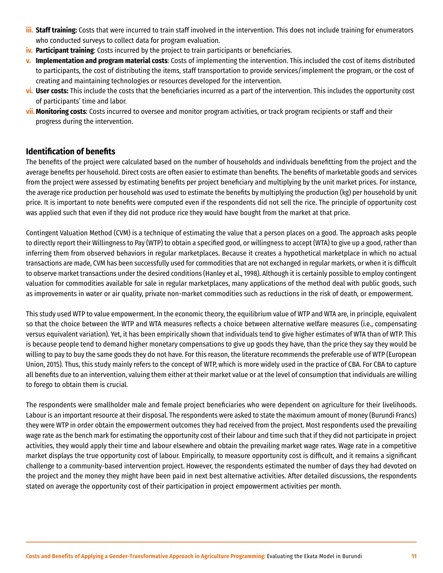- <span id="page-10-0"></span>**iii. Staff training:** Costs that were incurred to train staff involved in the intervention. This does not include training for enumerators who conducted surveys to collect data for program evaluation.
- **iv. Participant training**: Costs incurred by the project to train participants or beneficiaries.
- **v. Implementation and program material costs**: Costs of implementing the intervention. This included the cost of items distributed to participants, the cost of distributing the items, staff transportation to provide services/implement the program, or the cost of creating and maintaining technologies or resources developed for the intervention.
- **vi. User costs:** This include the costs that the beneficiaries incurred as a part of the intervention. This includes the opportunity cost of participants' time and labor.
- **vii.Monitoring costs**: Costs incurred to oversee and monitor program activities, or track program recipients or staff and their progress during the intervention.

#### **Identification of benefits**

The benefits of the project were calculated based on the number of households and individuals benefitting from the project and the average benefits per household. Direct costs are often easier to estimate than benefits. The benefits of marketable goods and services from the project were assessed by estimating benefits per project beneficiary and multiplying by the unit market prices. For instance, the average rice production per household was used to estimate the benefits by multiplying the production (kg) per household by unit price. It is important to note benefits were computed even if the respondents did not sell the rice. The principle of opportunity cost was applied such that even if they did not produce rice they would have bought from the market at that price.

Contingent Valuation Method (CVM) is a technique of estimating the value that a person places on a good. The approach asks people to directly report their Willingness to Pay (WTP) to obtain a specified good, or willingness to accept (WTA) to give up a good, rather than inferring them from observed behaviors in regular marketplaces. Because it creates a hypothetical marketplace in which no actual transactions are made, CVM has been successfully used for commodities that are not exchanged in regular markets, or when it is difficult to observe market transactions under the desired conditions (Hanley et al., 1998). Although it is certainly possible to employ contingent valuation for commodities available for sale in regular marketplaces, many applications of the method deal with public goods, such as improvements in water or air quality, private non-market commodities such as reductions in the risk of death, or empowerment.

This study used WTP to value empowerment. In the economic theory, the equilibrium value of WTP and WTA are, in principle, equivalent so that the choice between the WTP and WTA measures reflects a choice between alternative welfare measures (i.e., compensating versus equivalent variation). Yet, it has been empirically shown that individuals tend to give higher estimates of WTA than of WTP. This is because people tend to demand higher monetary compensations to give up goods they have, than the price they say they would be willing to pay to buy the same goods they do not have. For this reason, the literature recommends the preferable use of WTP (European Union, 2015). Thus, this study mainly refers to the concept of WTP, which is more widely used in the practice of CBA. For CBA to capture all benefits due to an intervention, valuing them either at their market value or at the level of consumption that individuals are willing to forego to obtain them is crucial.

The respondents were smallholder male and female project beneficiaries who were dependent on agriculture for their livelihoods. Labour is an important resource at their disposal. The respondents were asked to state the maximum amount of money (Burundi Francs) they were WTP in order obtain the empowerment outcomes they had received from the project. Most respondents used the prevailing wage rate as the bench mark for estimating the opportunity cost of their labour and time such that if they did not participate in project activities, they would apply their time and labour elsewhere and obtain the prevailing market wage rates. Wage rate in a competitive market displays the true opportunity cost of labour. Empirically, to measure opportunity cost is difficult, and it remains a significant challenge to a community-based intervention project. However, the respondents estimated the number of days they had devoted on the project and the money they might have been paid in next best alternative activities. After detailed discussions, the respondents stated on average the opportunity cost of their participation in project empowerment activities per month.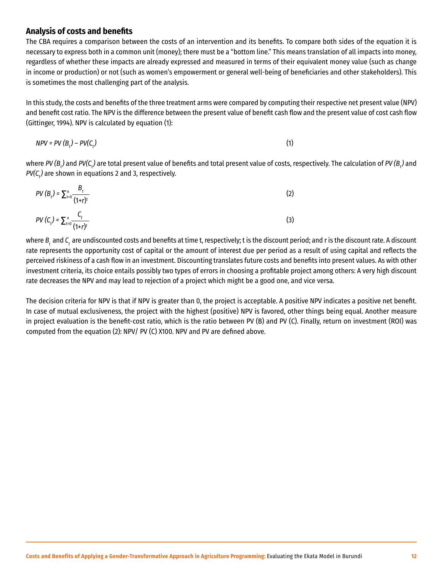#### <span id="page-11-0"></span>**Analysis of costs and benefits**

The CBA requires a comparison between the costs of an intervention and its benefits. To compare both sides of the equation it is necessary to express both in a common unit (money); there must be a "bottom line." This means translation of all impacts into money, regardless of whether these impacts are already expressed and measured in terms of their equivalent money value (such as change in income or production) or not (such as women's empowerment or general well-being of beneficiaries and other stakeholders). This is sometimes the most challenging part of the analysis.

In this study, the costs and benefits of the three treatment arms were compared by computing their respective net present value (NPV) and benefit cost ratio. The NPV is the difference between the present value of benefit cash flow and the present value of cost cash flow (Gittinger, 1994). NPV is calculated by equation (1):

$$
NPV = PV (B_t) - PV (C_t) \tag{1}
$$

where *PV (B<sub>t</sub>)* and *PV(C<sub>t</sub>) are total present value of benefits and total present value of costs, respectively. The calculation of <i>PV (B<sub>t</sub>) a*nd *PV(C* $_{t}$ *)* are shown in equations 2 and 3, respectively.

PV 
$$
(B_t) = \sum_{t=0}^{n} \frac{B_t}{(1+r)^t}
$$
 (2)  
\nPV  $(C_t) = \sum_{t=0}^{n} \frac{C_t}{(1+r)^t}$  (3)

where *B*, and *C*, are undiscounted costs and benefits at time t, respectively; t is the discount period; and r is the discount rate. A discount rate represents the opportunity cost of capital or the amount of interest due per period as a result of using capital and reflects the perceived riskiness of a cash flow in an investment. Discounting translates future costs and benefits into present values. As with other investment criteria, its choice entails possibly two types of errors in choosing a profitable project among others: A very high discount rate decreases the NPV and may lead to rejection of a project which might be a good one, and vice versa.

The decision criteria for NPV is that if NPV is greater than 0, the project is acceptable. A positive NPV indicates a positive net benefit. In case of mutual exclusiveness, the project with the highest (positive) NPV is favored, other things being equal. Another measure in project evaluation is the benefit-cost ratio, which is the ratio between PV (B) and PV (C). Finally, return on investment (ROI) was computed from the equation (2): NPV/ PV (C) X100. NPV and PV are defined above.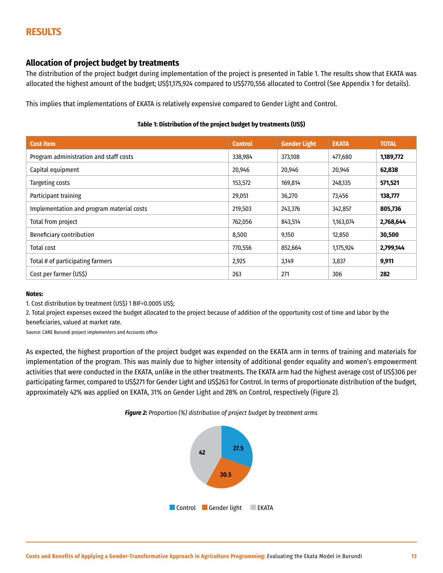## <span id="page-12-0"></span>**RESULTS**

#### **Allocation of project budget by treatments**

The distribution of the project budget during implementation of the project is presented in Table 1. The results show that EKATA was allocated the highest amount of the budget; US\$1,175,924 compared to US\$770,556 allocated to Control (See Appendix 1 for details).

This implies that implementations of EKATA is relatively expensive compared to Gender Light and Control.

#### **Table 1: Distribution of the project budget by treatments (US\$)**

| <b>Cost item</b>                          | <b>Control</b> | <b>Gender Light</b> | <b>EKATA</b> | <b>TOTAL</b> |
|-------------------------------------------|----------------|---------------------|--------------|--------------|
| Program administration and staff costs    | 338,984        | 373,108             | 477,680      | 1,189,772    |
| Capital equipment                         | 20,946         | 20,946              | 20,946       | 62,838       |
| Targeting costs                           | 153,572        | 169,814             | 248,135      | 571,521      |
| Participant training                      | 29,051         | 36,270              | 73,456       | 138,777      |
| Implementation and program material costs | 219,503        | 243,376             | 342,857      | 805,736      |
| Total from project                        | 762,056        | 843,514             | 1,163,074    | 2,768,644    |
| Beneficiary contribution                  | 8,500          | 9,150               | 12,850       | 30,500       |
| Total cost                                | 770,556        | 852,664             | 1,175,924    | 2,799,144    |
| Total # of participating farmers          | 2,925          | 3,149               | 3,837        | 9,911        |
| Cost per farmer (US\$)                    | 263            | 271                 | 306          | 282          |

#### **Notes:**

1. Cost distribution by treatment (US\$) 1 BIF=0.0005 US\$;

2. Total project expenses exceed the budget allocated to the project because of addition of the opportunity cost of time and labor by the beneficiaries, valued at market rate.

Source: CARE Burundi project implementers and Accounts office

As expected, the highest proportion of the project budget was expended on the EKATA arm in terms of training and materials for implementation of the program. This was mainly due to higher intensity of additional gender equality and women's empowerment activities that were conducted in the EKATA, unlike in the other treatments. The EKATA arm had the highest average cost of US\$306 per participating farmer, compared to US\$271 for Gender Light and US\$263 for Control. In terms of proportionate distribution of the budget, approximately 42% was applied on EKATA, 31% on Gender Light and 28% on Control, respectively (Figure 2).



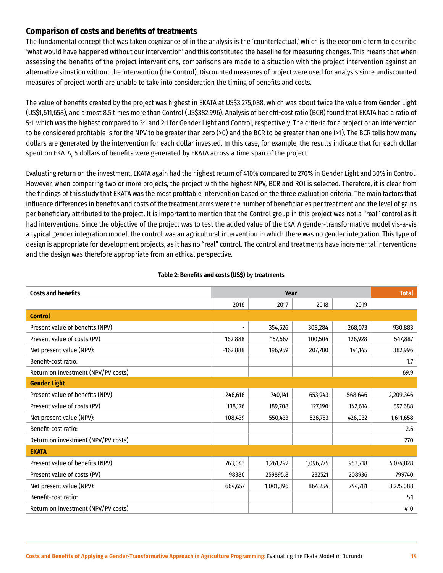## <span id="page-13-0"></span>**Comparison of costs and benefits of treatments**

The fundamental concept that was taken cognizance of in the analysis is the 'counterfactual,' which is the economic term to describe 'what would have happened without our intervention' and this constituted the baseline for measuring changes. This means that when assessing the benefits of the project interventions, comparisons are made to a situation with the project intervention against an alternative situation without the intervention (the Control). Discounted measures of project were used for analysis since undiscounted measures of project worth are unable to take into consideration the timing of benefits and costs.

The value of benefits created by the project was highest in EKATA at US\$3,275,088, which was about twice the value from Gender Light (US\$1,611,658), and almost 8.5 times more than Control (US\$382,996). Analysis of benefit-cost ratio (BCR) found that EKATA had a ratio of 5:1, which was the highest compared to 3:1 and 2:1 for Gender Light and Control, respectively. The criteria for a project or an intervention to be considered profitable is for the NPV to be greater than zero (>0) and the BCR to be greater than one (>1). The BCR tells how many dollars are generated by the intervention for each dollar invested. In this case, for example, the results indicate that for each dollar spent on EKATA, 5 dollars of benefits were generated by EKATA across a time span of the project.

Evaluating return on the investment, EKATA again had the highest return of 410% compared to 270% in Gender Light and 30% in Control. However, when comparing two or more projects, the project with the highest NPV, BCR and ROI is selected. Therefore, it is clear from the findings of this study that EKATA was the most profitable intervention based on the three evaluation criteria. The main factors that influence differences in benefits and costs of the treatment arms were the number of beneficiaries per treatment and the level of gains per beneficiary attributed to the project. It is important to mention that the Control group in this project was not a "real" control as it had interventions. Since the objective of the project was to test the added value of the EKATA gender-transformative model vis-a-vis a typical gender integration model, the control was an agricultural intervention in which there was no gender integration. This type of design is appropriate for development projects, as it has no "real" control. The control and treatments have incremental interventions and the design was therefore appropriate from an ethical perspective.

| <b>Costs and benefits</b>           | Year                         |           |           |         | <b>Total</b> |  |
|-------------------------------------|------------------------------|-----------|-----------|---------|--------------|--|
|                                     | 2016                         | 2017      | 2018      | 2019    |              |  |
| <b>Control</b>                      |                              |           |           |         |              |  |
| Present value of benefits (NPV)     | $\qquad \qquad \blacksquare$ | 354,526   | 308,284   | 268,073 | 930,883      |  |
| Present value of costs (PV)         | 162,888                      | 157,567   | 100,504   | 126,928 | 547,887      |  |
| Net present value (NPV):            | $-162,888$                   | 196,959   | 207,780   | 141,145 | 382,996      |  |
| Benefit-cost ratio:                 |                              |           |           |         | 1.7          |  |
| Return on investment (NPV/PV costs) |                              |           |           |         | 69.9         |  |
| <b>Gender Light</b>                 |                              |           |           |         |              |  |
| Present value of benefits (NPV)     | 246,616                      | 740,141   | 653,943   | 568,646 | 2,209,346    |  |
| Present value of costs (PV)         | 138,176                      | 189,708   | 127,190   | 142,614 | 597,688      |  |
| Net present value (NPV):            | 108,439                      | 550,433   | 526,753   | 426,032 | 1,611,658    |  |
| Benefit-cost ratio:                 |                              |           |           |         | 2.6          |  |
| Return on investment (NPV/PV costs) |                              |           |           |         | 270          |  |
| <b>EKATA</b>                        |                              |           |           |         |              |  |
| Present value of benefits (NPV)     | 763,043                      | 1,261,292 | 1,096,775 | 953,718 | 4,074,828    |  |
| Present value of costs (PV)         | 98386                        | 259895.8  | 232521    | 208936  | 799740       |  |
| Net present value (NPV):            | 664,657                      | 1,001,396 | 864,254   | 744,781 | 3,275,088    |  |
| Benefit-cost ratio:                 |                              |           |           |         | 5.1          |  |
| Return on investment (NPV/PV costs) |                              |           |           |         | 410          |  |

#### **Table 2: Benefits and costs (US\$) by treatments**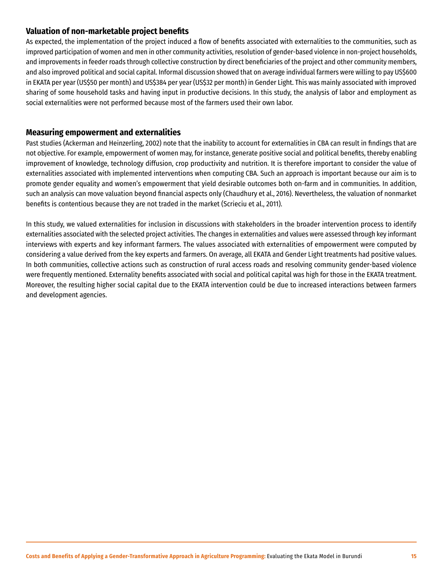#### <span id="page-14-0"></span>**Valuation of non-marketable project benefits**

As expected, the implementation of the project induced a flow of benefits associated with externalities to the communities, such as improved participation of women and men in other community activities, resolution of gender-based violence in non-project households, and improvements in feeder roads through collective construction by direct beneficiaries of the project and other community members, and also improved political and social capital. Informal discussion showed that on average individual farmers were willing to pay US\$600 in EKATA per year (US\$50 per month) and US\$384 per year (US\$32 per month) in Gender Light. This was mainly associated with improved sharing of some household tasks and having input in productive decisions. In this study, the analysis of labor and employment as social externalities were not performed because most of the farmers used their own labor.

#### **Measuring empowerment and externalities**

Past studies (Ackerman and Heinzerling, 2002) note that the inability to account for externalities in CBA can result in findings that are not objective. For example, empowerment of women may, for instance, generate positive social and political benefits, thereby enabling improvement of knowledge, technology diffusion, crop productivity and nutrition. It is therefore important to consider the value of externalities associated with implemented interventions when computing CBA. Such an approach is important because our aim is to promote gender equality and women's empowerment that yield desirable outcomes both on-farm and in communities. In addition, such an analysis can move valuation beyond financial aspects only (Chaudhury et al., 2016). Nevertheless, the valuation of nonmarket benefits is contentious because they are not traded in the market (Scrieciu et al., 2011).

In this study, we valued externalities for inclusion in discussions with stakeholders in the broader intervention process to identify externalities associated with the selected project activities. The changes in externalities and values were assessed through key informant interviews with experts and key informant farmers. The values associated with externalities of empowerment were computed by considering a value derived from the key experts and farmers. On average, all EKATA and Gender Light treatments had positive values. In both communities, collective actions such as construction of rural access roads and resolving community gender-based violence were frequently mentioned. Externality benefits associated with social and political capital was high for those in the EKATA treatment. Moreover, the resulting higher social capital due to the EKATA intervention could be due to increased interactions between farmers and development agencies.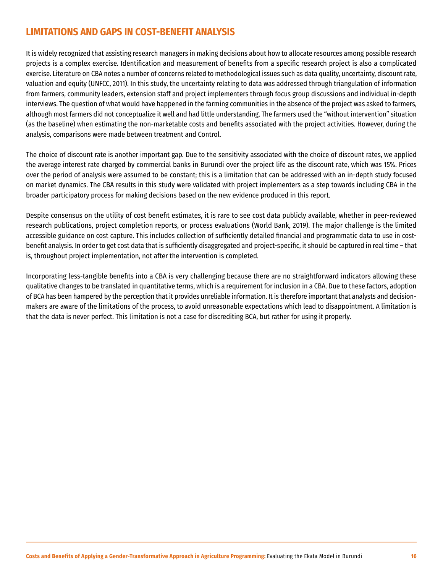## <span id="page-15-0"></span>**LIMITATIONS AND GAPS IN COST-BENEFIT ANALYSIS**

It is widely recognized that assisting research managers in making decisions about how to allocate resources among possible research projects is a complex exercise. Identification and measurement of benefits from a specific research project is also a complicated exercise. Literature on CBA notes a number of concerns related to methodological issues such as data quality, uncertainty, discount rate, valuation and equity (UNFCC, 2011). In this study, the uncertainty relating to data was addressed through triangulation of information from farmers, community leaders, extension staff and project implementers through focus group discussions and individual in-depth interviews. The question of what would have happened in the farming communities in the absence of the project was asked to farmers, although most farmers did not conceptualize it well and had little understanding. The farmers used the "without intervention" situation (as the baseline) when estimating the non-marketable costs and benefits associated with the project activities. However, during the analysis, comparisons were made between treatment and Control.

The choice of discount rate is another important gap. Due to the sensitivity associated with the choice of discount rates, we applied the average interest rate charged by commercial banks in Burundi over the project life as the discount rate, which was 15%. Prices over the period of analysis were assumed to be constant; this is a limitation that can be addressed with an in-depth study focused on market dynamics. The CBA results in this study were validated with project implementers as a step towards including CBA in the broader participatory process for making decisions based on the new evidence produced in this report.

Despite consensus on the utility of cost benefit estimates, it is rare to see cost data publicly available, whether in peer-reviewed research publications, project completion reports, or process evaluations (World Bank, 2019). The major challenge is the limited accessible guidance on cost capture. This includes collection of sufficiently detailed financial and programmatic data to use in costbenefit analysis. In order to get cost data that is sufficiently disaggregated and project-specific, it should be captured in real time – that is, throughout project implementation, not after the intervention is completed.

Incorporating less-tangible benefits into a CBA is very challenging because there are no straightforward indicators allowing these qualitative changes to be translated in quantitative terms, which is a requirement for inclusion in a CBA. Due to these factors, adoption of BCA has been hampered by the perception that it provides unreliable information. It is therefore important that analysts and decisionmakers are aware of the limitations of the process, to avoid unreasonable expectations which lead to disappointment. A limitation is that the data is never perfect. This limitation is not a case for discrediting BCA, but rather for using it properly.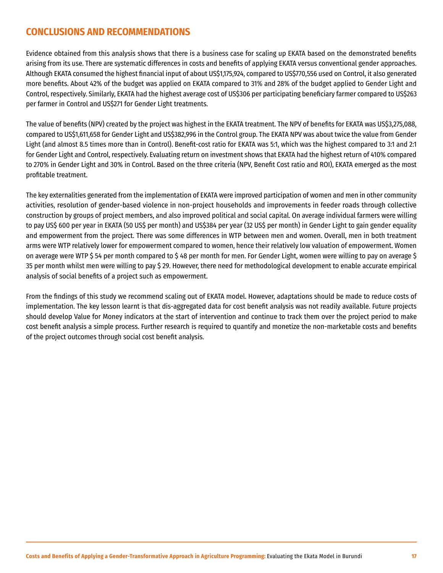## <span id="page-16-0"></span>**CONCLUSIONS AND RECOMMENDATIONS**

Evidence obtained from this analysis shows that there is a business case for scaling up EKATA based on the demonstrated benefits arising from its use. There are systematic differences in costs and benefits of applying EKATA versus conventional gender approaches. Although EKATA consumed the highest financial input of about US\$1,175,924, compared to US\$770,556 used on Control, it also generated more benefits. About 42% of the budget was applied on EKATA compared to 31% and 28% of the budget applied to Gender Light and Control, respectively. Similarly, EKATA had the highest average cost of US\$306 per participating beneficiary farmer compared to US\$263 per farmer in Control and US\$271 for Gender Light treatments.

The value of benefits (NPV) created by the project was highest in the EKATA treatment. The NPV of benefits for EKATA was US\$3,275,088, compared to US\$1,611,658 for Gender Light and US\$382,996 in the Control group. The EKATA NPV was about twice the value from Gender Light (and almost 8.5 times more than in Control). Benefit-cost ratio for EKATA was 5:1, which was the highest compared to 3:1 and 2:1 for Gender Light and Control, respectively. Evaluating return on investment shows that EKATA had the highest return of 410% compared to 270% in Gender Light and 30% in Control. Based on the three criteria (NPV, Benefit Cost ratio and ROI), EKATA emerged as the most profitable treatment.

The key externalities generated from the implementation of EKATA were improved participation of women and men in other community activities, resolution of gender-based violence in non-project households and improvements in feeder roads through collective construction by groups of project members, and also improved political and social capital. On average individual farmers were willing to pay US\$ 600 per year in EKATA (50 US\$ per month) and US\$384 per year (32 US\$ per month) in Gender Light to gain gender equality and empowerment from the project. There was some differences in WTP between men and women. Overall, men in both treatment arms were WTP relatively lower for empowerment compared to women, hence their relatively low valuation of empowerment. Women on average were WTP \$ 54 per month compared to \$ 48 per month for men. For Gender Light, women were willing to pay on average \$ 35 per month whilst men were willing to pay \$ 29. However, there need for methodological development to enable accurate empirical analysis of social benefits of a project such as empowerment.

From the findings of this study we recommend scaling out of EKATA model. However, adaptations should be made to reduce costs of implementation. The key lesson learnt is that dis-aggregated data for cost benefit analysis was not readily available. Future projects should develop Value for Money indicators at the start of intervention and continue to track them over the project period to make cost benefit analysis a simple process. Further research is required to quantify and monetize the non-marketable costs and benefits of the project outcomes through social cost benefit analysis.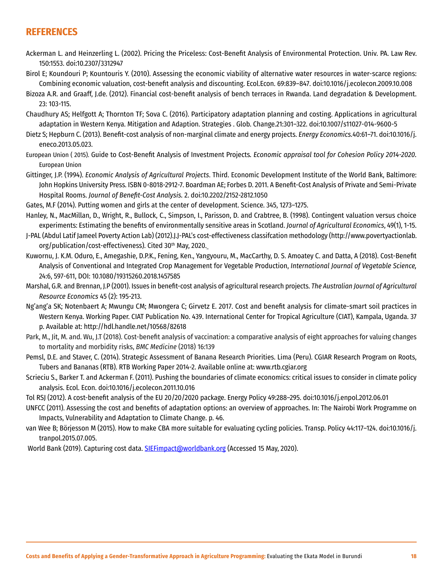## <span id="page-17-0"></span>**REFERENCES**

- Ackerman L. and Heinzerling L. (2002). Pricing the Priceless: Cost-Benefit Analysis of Environmental Protection. Univ. PA. Law Rev. 150:1553. doi:10.2307/3312947
- Birol E; Koundouri P; Kountouris Y. (2010). Assessing the economic viability of alternative water resources in water-scarce regions: Combining economic valuation, cost-benefit analysis and discounting. Ecol.Econ. 69:839–847. doi:10.1016/j.ecolecon.2009.10.008
- Bizoza A.R. and Graaff, J.de. (2012). Financial cost-benefit analysis of bench terraces in Rwanda. Land degradation & Development. 23: 103-115.
- Chaudhury AS; Helfgott A; Thornton TF; Sova C. (2016). Participatory adaptation planning and costing. Applications in agricultural adaptation in Western Kenya. Mitigation and Adaption. Strategies . Glob. Change.21:301–322. doi:10.1007/s11027-014-9600-5
- Dietz S; Hepburn C. (2013). Benefit-cost analysis of non-marginal climate and energy projects. *Energy Economics.*40:61–71. doi:10.1016/j. eneco.2013.05.023.
- European Union ( 2015). Guide to Cost-Benefit Analysis of Investment Projects*. Economic appraisal tool for Cohesion Policy 2014-2020.* European Union
- Gittinger, J.P. (1994). *Economic Analysis of Agricultural Projects*. Third. Economic Development Institute of the World Bank, Baltimore: John Hopkins University Press. ISBN 0-8018-2912-7. Boardman AE; Forbes D. 2011. A Benefit-Cost Analysis of Private and Semi-Private Hospital Rooms. *Journal of Benefit-Cost Analysis.* 2. doi:10.2202/2152-2812.1050
- Gates, M.F (2014). Putting women and girls at the center of development. Science. 345, 1273–1275.
- Hanley, N., MacMillan, D., Wright, R., Bullock, C., Simpson, I., Parisson, D. and Crabtree, B. (1998). Contingent valuation versus choice experiments: Estimating the benefits of environmentally sensitive areas in Scotland. *Journal of Agricultural Economics*, 49(1), 1-15.
- J-PAL (Abdul Latif Jameel Poverty Action Lab) (2012).J.[J-PAL's cost-effectiveness classifcation methodology \(http://www.povertyactionlab.](file:///Users/paullewis/Z_Luz_Design/CARE/_Ethiopia_Dec_2020/CBA%20Report/../../../../../atasew/AppData/Local/Microsoft/Windows/INetCache/Content.Outlook/Documents/DESKTOPOCTOBER2019/CARE PROJECT/BURUNDI DATA AND DOCS/BURUNDI DATASETS and Excel tables/CBA MATERIALS/J-PAL) [org/publication/cost-effectiveness\).](file:///Users/paullewis/Z_Luz_Design/CARE/_Ethiopia_Dec_2020/CBA%20Report/../../../../../atasew/AppData/Local/Microsoft/Windows/INetCache/Content.Outlook/Documents/DESKTOPOCTOBER2019/CARE PROJECT/BURUNDI DATA AND DOCS/BURUNDI DATASETS and Excel tables/CBA MATERIALS/J-PAL) Cited 30<sup>th</sup> May, 2020.
- Kuwornu, J. K.M. Oduro, E., Amegashie, D.P.K., Fening, Ken., Yangyouru, M., MacCarthy, D. S. Amoatey C. and Datta, A (2018). Cost-Benefit Analysis of Conventional and Integrated Crop Management for Vegetable Production, *International Journal of Vegetable Science,* 24:6, 597-611, DOI: 10.1080/19315260.2018.1457585
- Marshal, G.R. and Brennan, J.P (2001). Issues in benefit-cost analysis of agricultural research projects. *The Australian Journal of Agricultural Resource Economics* 45 (2): 195-213.
- Ng'ang'a SK; Notenbaert A; Mwungu CM; Mwongera C; Girvetz E. 2017. Cost and benefit analysis for climate-smart soil practices in Western Kenya. Working Paper. CIAT Publication No. 439. International Center for Tropical Agriculture (CIAT), Kampala, Uganda. 37 p. Available at: <http://hdl.handle.net/10568/82618>
- Park, M., Jit, M. and. Wu, J.T (2018). Cost-benefit analysis of vaccination: a comparative analysis of eight approaches for valuing changes to mortality and morbidity risks, *BMC Medicine* (2018) 16:139
- Pemsl, D.E. and Staver, C. (2014). Strategic Assessment of Banana Research Priorities. Lima (Peru). CGIAR Research Program on Roots, Tubers and Bananas (RTB). RTB Working Paper 2014-2. Available online at: www.rtb.cgiar.org
- Scrieciu S., Barker T. and Ackerman F. (2011). Pushing the boundaries of climate economics: critical issues to consider in climate policy analysis. Ecol. Econ. doi:10.1016/j.ecolecon.2011.10.016
- Tol RSJ (2012). A cost-benefit analysis of the EU 20/20/2020 package. Energy Policy 49:288–295. doi:10.1016/j.enpol.2012.06.01
- UNFCC (2011). Assessing the cost and benefits of adaptation options: an overview of approaches. In: The Nairobi Work Programme on Impacts, Vulnerability and Adaptation to Climate Change. p. 46.
- van Wee B; Börjesson M (2015). How to make CBA more suitable for evaluating cycling policies. Transp. Policy 44:117–124. doi:10.1016/j. tranpol.2015.07.005.
- World Bank (2019). Capturing cost data. [SIEFimpact@worldbank.org](mailto:SIEFimpact@worldbank.org) (Accessed 15 May, 2020).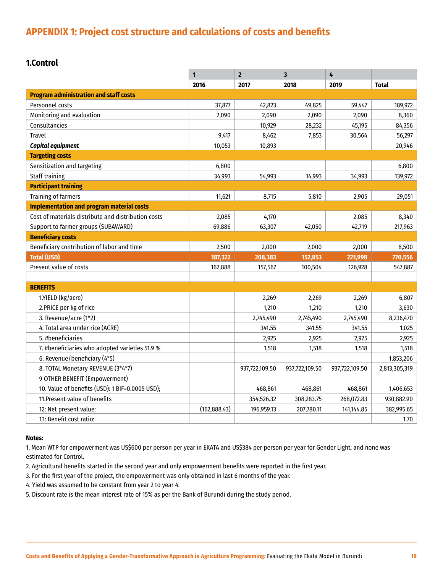## <span id="page-18-0"></span>**APPENDIX 1: Project cost structure and calculations of costs and benefits**

### **1.Control**

|                                                     | 1             | $\overline{2}$ | $\overline{\mathbf{3}}$ | 4              |               |
|-----------------------------------------------------|---------------|----------------|-------------------------|----------------|---------------|
|                                                     | 2016          | 2017           | 2018                    | 2019           | <b>Total</b>  |
| <b>Program administration and staff costs</b>       |               |                |                         |                |               |
| Personnel costs                                     | 37,877        | 42,823         | 49,825                  | 59,447         | 189,972       |
| Monitoring and evaluation                           | 2,090         | 2,090          | 2,090                   | 2,090          | 8,360         |
| Consultancies                                       |               | 10,929         | 28,232                  | 45,195         | 84,356        |
| <b>Travel</b>                                       | 9,417         | 8,462          | 7,853                   | 30,564         | 56,297        |
| Capital equipment                                   | 10,053        | 10,893         |                         |                | 20,946        |
| <b>Targeting costs</b>                              |               |                |                         |                |               |
| Sensitization and targeting                         | 6,800         |                |                         |                | 6,800         |
| <b>Staff training</b>                               | 34,993        | 54,993         | 14,993                  | 34,993         | 139,972       |
| <b>Participant training</b>                         |               |                |                         |                |               |
| <b>Training of farmers</b>                          | 11,621        | 8,715          | 5,810                   | 2,905          | 29,051        |
| <b>Implementation and program material costs</b>    |               |                |                         |                |               |
| Cost of materials distribute and distribution costs | 2,085         | 4,170          |                         | 2,085          | 8,340         |
| Support to farmer groups (SUBAWARD)                 | 69,886        | 63,307         | 42,050                  | 42,719         | 217,963       |
| <b>Beneficiary costs</b>                            |               |                |                         |                |               |
| Beneficiary contribution of labor and time          | 2,500         | 2,000          | 2,000                   | 2,000          | 8,500         |
| <b>Total (USD)</b>                                  | 187,322       | 208,383        | 152,853                 | 221,998        | 770,556       |
| Present value of costs                              | 162,888       | 157,567        | 100,504                 | 126,928        | 547,887       |
|                                                     |               |                |                         |                |               |
| <b>BENEFITS</b>                                     |               |                |                         |                |               |
| 1.YIELD (kg/acre)                                   |               | 2,269          | 2,269                   | 2,269          | 6,807         |
| 2. PRICE per kg of rice                             |               | 1,210          | 1,210                   | 1,210          | 3,630         |
| 3. Revenue/acre (1*2)                               |               | 2,745,490      | 2,745,490               | 2,745,490      | 8,236,470     |
| 4. Total area under rice (ACRE)                     |               | 341.55         | 341.55                  | 341.55         | 1,025         |
| 5. #beneficiaries                                   |               | 2,925          | 2,925                   | 2,925          | 2,925         |
| 7. #beneficiaries who adopted varieties 51.9 %      |               | 1,518          | 1,518                   | 1,518          | 1,518         |
| 6. Revenue/beneficiary (4*5)                        |               |                |                         |                | 1,853,206     |
| 8. TOTAL Monetary REVENUE (3*4*7)                   |               | 937,722,109.50 | 937,722,109.50          | 937,722,109.50 | 2,813,305,319 |
| 9 OTHER BENEFIT (Empowerment)                       |               |                |                         |                |               |
| 10. Value of benefits (USD): 1 BIF=0.0005 USD);     |               | 468,861        | 468,861                 | 468,861        | 1,406,653     |
| 11. Present value of benefits                       |               | 354,526.32     | 308,283.75              | 268,072.83     | 930,882.90    |
| 12: Net present value:                              | (162, 888.43) | 196,959.13     | 207,780.11              | 141,144.85     | 382,995.65    |
| 13: Benefit cost ratio:                             |               |                |                         |                | 1.70          |

#### **Notes:**

1. Mean WTP for empowerment was US\$600 per person per year in EKATA and US\$384 per person per year for Gender Light; and none was estimated for Control.

2. Agricultural benefits started in the second year and only empowerment benefits were reported in the first year.

3. For the first year of the project, the empowerment was only obtained in last 6 months of the year.

4. Yield was assumed to be constant from year 2 to year 4.

5. Discount rate is the mean interest rate of 15% as per the Bank of Burundi during the study period.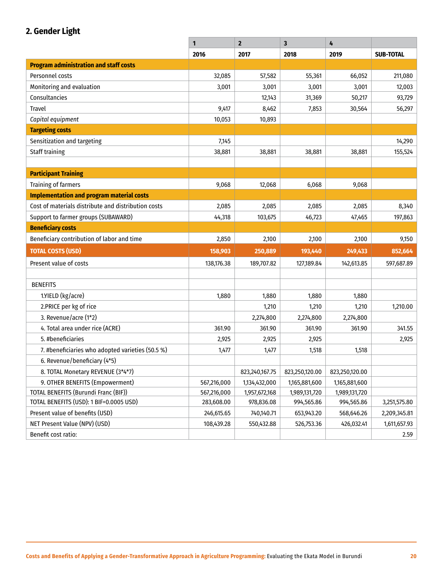## **2. Gender Light**

|                                                     | 1           | $\overline{2}$ | $\overline{\mathbf{3}}$ | 4              |                  |
|-----------------------------------------------------|-------------|----------------|-------------------------|----------------|------------------|
|                                                     | 2016        | 2017           | 2018                    | 2019           | <b>SUB-TOTAL</b> |
| <b>Program administration and staff costs</b>       |             |                |                         |                |                  |
| Personnel costs                                     | 32,085      | 57,582         | 55,361                  | 66,052         | 211,080          |
| Monitoring and evaluation                           | 3,001       | 3,001          | 3,001                   | 3,001          | 12,003           |
| Consultancies                                       |             | 12,143         | 31,369                  | 50,217         | 93,729           |
| <b>Travel</b>                                       | 9,417       | 8,462          | 7,853                   | 30,564         | 56,297           |
| Capital equipment                                   | 10,053      | 10,893         |                         |                |                  |
| <b>Targeting costs</b>                              |             |                |                         |                |                  |
| Sensitization and targeting                         | 7,145       |                |                         |                | 14,290           |
| <b>Staff training</b>                               | 38,881      | 38,881         | 38,881                  | 38,881         | 155,524          |
|                                                     |             |                |                         |                |                  |
| <b>Participant Training</b>                         |             |                |                         |                |                  |
| <b>Training of farmers</b>                          | 9,068       | 12,068         | 6,068                   | 9,068          |                  |
| <b>Implementation and program material costs</b>    |             |                |                         |                |                  |
| Cost of materials distribute and distribution costs | 2,085       | 2,085          | 2,085                   | 2,085          | 8,340            |
| Support to farmer groups (SUBAWARD)                 | 44,318      | 103,675        | 46,723                  | 47,465         | 197,863          |
| <b>Beneficiary costs</b>                            |             |                |                         |                |                  |
| Beneficiary contribution of labor and time          | 2,850       | 2,100          | 2,100                   | 2,100          | 9,150            |
| <b>TOTAL COSTS (USD)</b>                            | 158,903     | 250,889        | 193,440                 | 249,433        | 852,664          |
| Present value of costs                              | 138,176.38  | 189,707.82     | 127,189.84              | 142,613.85     | 597,687.89       |
|                                                     |             |                |                         |                |                  |
| <b>BENEFITS</b>                                     |             |                |                         |                |                  |
| 1.YIELD (kg/acre)                                   | 1,880       | 1,880          | 1,880                   | 1,880          |                  |
| 2.PRICE per kg of rice                              |             | 1,210          | 1,210                   | 1,210          | 1,210.00         |
| 3. Revenue/acre (1*2)                               |             | 2,274,800      | 2,274,800               | 2,274,800      |                  |
| 4. Total area under rice (ACRE)                     | 361.90      | 361.90         | 361.90                  | 361.90         | 341.55           |
| 5. #beneficiaries                                   | 2,925       | 2,925          | 2,925                   |                | 2,925            |
| 7. #beneficiaries who adopted varieties (50.5 %)    | 1,477       | 1,477          | 1,518                   | 1,518          |                  |
| 6. Revenue/beneficiary (4*5)                        |             |                |                         |                |                  |
| 8. TOTAL Monetary REVENUE (3*4*7)                   |             | 823,240,167.75 | 823,250,120.00          | 823,250,120.00 |                  |
| 9. OTHER BENEFITS (Empowerment)                     | 567,216,000 | 1,134,432,000  | 1,165,881,600           | 1,165,881,600  |                  |
| TOTAL BENEFITS (Burundi Franc (BIF))                | 567,216,000 | 1,957,672,168  | 1,989,131,720           | 1,989,131,720  |                  |
| TOTAL BENEFITS (USD): 1 BIF=0.0005 USD)             | 283,608.00  | 978,836.08     | 994,565.86              | 994,565.86     | 3,251,575.80     |
| Present value of benefits (USD)                     | 246,615.65  | 740,140.71     | 653,943.20              | 568,646.26     | 2,209,345.81     |
| NET Present Value (NPV) (USD)                       | 108,439.28  | 550,432.88     | 526,753.36              | 426,032.41     | 1,611,657.93     |
| Benefit cost ratio:                                 |             |                |                         |                | 2.59             |